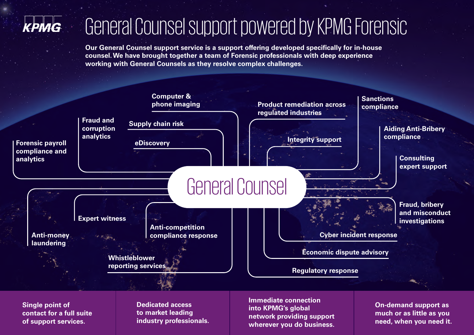

## General Counsel support powered by KPMG Forensic

**Our General Counsel support service is a support offering developed specifically for in-house counsel. We have brought together a team of Forensic professionals with deep experience working with General Counsels as they resolve complex challenges.**



**contact for a full suite of support services.**

**to market leading industry professionals.**

**into KPMG's global network providing support wherever you do business.**

**much or as little as you need, when you need it.**